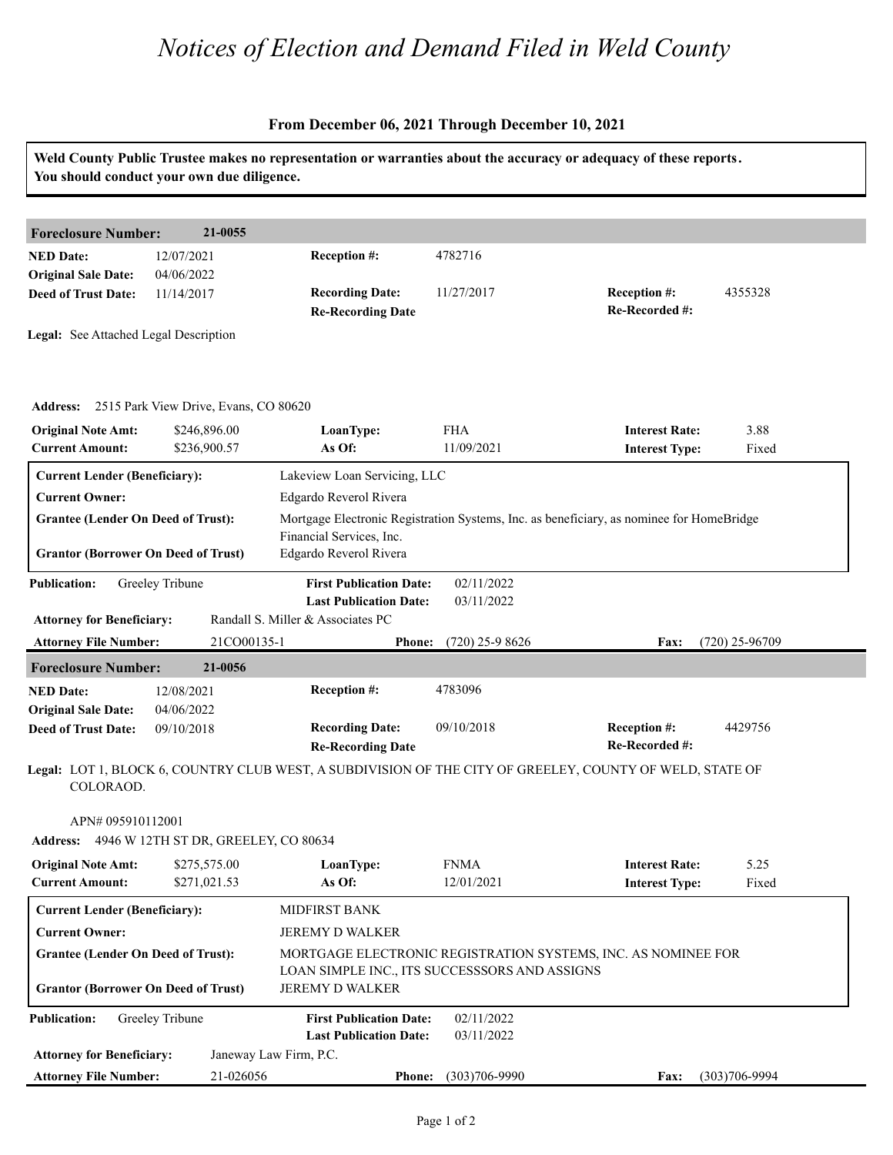## *Notices of Election and Demand Filed in Weld County*

## **From December 06, 2021 Through December 10, 2021**

| You should conduct your own due diligence.                         |                              |                                                                                                                |                          | Weld County Public Trustee makes no representation or warranties about the accuracy or adequacy of these reports. |
|--------------------------------------------------------------------|------------------------------|----------------------------------------------------------------------------------------------------------------|--------------------------|-------------------------------------------------------------------------------------------------------------------|
|                                                                    |                              |                                                                                                                |                          |                                                                                                                   |
| <b>Foreclosure Number:</b>                                         | 21-0055                      |                                                                                                                |                          |                                                                                                                   |
| <b>NED Date:</b><br><b>Original Sale Date:</b>                     | 12/07/2021<br>04/06/2022     | Reception #:                                                                                                   | 4782716                  |                                                                                                                   |
| <b>Deed of Trust Date:</b>                                         | 11/14/2017                   | <b>Recording Date:</b><br><b>Re-Recording Date</b>                                                             | 11/27/2017               | <b>Reception #:</b><br>4355328<br>Re-Recorded #:                                                                  |
| Legal: See Attached Legal Description                              |                              |                                                                                                                |                          |                                                                                                                   |
| Address: 2515 Park View Drive, Evans, CO 80620                     |                              |                                                                                                                |                          |                                                                                                                   |
| <b>Original Note Amt:</b><br><b>Current Amount:</b>                | \$246,896.00<br>\$236,900.57 | LoanType:<br>As Of:                                                                                            | <b>FHA</b><br>11/09/2021 | <b>Interest Rate:</b><br>3.88<br><b>Interest Type:</b><br>Fixed                                                   |
| <b>Current Lender (Beneficiary):</b>                               |                              | Lakeview Loan Servicing, LLC                                                                                   |                          |                                                                                                                   |
| <b>Current Owner:</b>                                              |                              | Edgardo Reverol Rivera                                                                                         |                          |                                                                                                                   |
| <b>Grantee (Lender On Deed of Trust):</b>                          |                              | Mortgage Electronic Registration Systems, Inc. as beneficiary, as nominee for HomeBridge                       |                          |                                                                                                                   |
| <b>Grantor (Borrower On Deed of Trust)</b>                         |                              | Financial Services, Inc.<br>Edgardo Reverol Rivera                                                             |                          |                                                                                                                   |
| <b>Publication:</b>                                                | Greeley Tribune              | <b>First Publication Date:</b><br><b>Last Publication Date:</b>                                                | 02/11/2022<br>03/11/2022 |                                                                                                                   |
| <b>Attorney for Beneficiary:</b><br><b>Attorney File Number:</b>   | 21CO00135-1                  | Randall S. Miller & Associates PC<br><b>Phone:</b>                                                             | $(720)$ 25-9 8626        | $(720)$ 25-96709<br>Fax:                                                                                          |
|                                                                    | 21-0056                      |                                                                                                                |                          |                                                                                                                   |
| <b>Foreclosure Number:</b><br><b>NED Date:</b>                     | 12/08/2021                   | Reception #:                                                                                                   | 4783096                  |                                                                                                                   |
| <b>Original Sale Date:</b>                                         | 04/06/2022                   |                                                                                                                |                          |                                                                                                                   |
| <b>Deed of Trust Date:</b>                                         | 09/10/2018                   | <b>Recording Date:</b><br><b>Re-Recording Date</b>                                                             | 09/10/2018               | 4429756<br><b>Reception #:</b><br>Re-Recorded #:                                                                  |
| COLORAOD.                                                          |                              |                                                                                                                |                          | Legal: LOT 1, BLOCK 6, COUNTRY CLUB WEST, A SUBDIVISION OF THE CITY OF GREELEY, COUNTY OF WELD, STATE OF          |
| APN# 095910112001<br>Address: 4946 W 12TH ST DR, GREELEY, CO 80634 |                              |                                                                                                                |                          |                                                                                                                   |
| <b>Original Note Amt:</b>                                          | \$275,575.00                 | LoanType:                                                                                                      | <b>FNMA</b>              | <b>Interest Rate:</b><br>5.25                                                                                     |
| <b>Current Amount:</b>                                             | \$271,021.53                 | As Of:                                                                                                         | 12/01/2021               | <b>Interest Type:</b><br>Fixed                                                                                    |
| <b>Current Lender (Beneficiary):</b>                               |                              | <b>MIDFIRST BANK</b>                                                                                           |                          |                                                                                                                   |
| <b>Current Owner:</b>                                              |                              | JEREMY D WALKER                                                                                                |                          |                                                                                                                   |
| <b>Grantee (Lender On Deed of Trust):</b>                          |                              | MORTGAGE ELECTRONIC REGISTRATION SYSTEMS, INC. AS NOMINEE FOR<br>LOAN SIMPLE INC., ITS SUCCESSSORS AND ASSIGNS |                          |                                                                                                                   |
| <b>Grantor (Borrower On Deed of Trust)</b>                         |                              | JEREMY D WALKER                                                                                                |                          |                                                                                                                   |
| <b>Publication:</b>                                                | Greeley Tribune              | <b>First Publication Date:</b><br><b>Last Publication Date:</b>                                                | 02/11/2022<br>03/11/2022 |                                                                                                                   |
| <b>Attorney for Beneficiary:</b>                                   |                              | Janeway Law Firm, P.C.                                                                                         |                          |                                                                                                                   |
| <b>Attorney File Number:</b>                                       | 21-026056                    |                                                                                                                | Phone: (303)706-9990     | $(303)706 - 9994$<br><b>Fax:</b>                                                                                  |